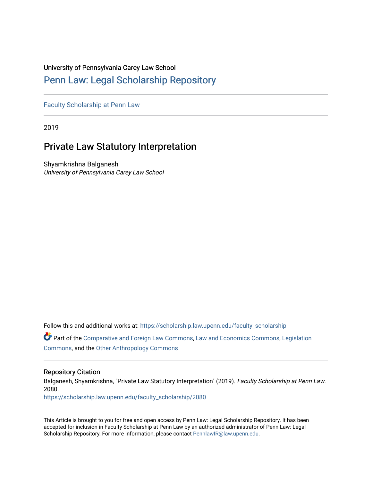# University of Pennsylvania Carey Law School

# [Penn Law: Legal Scholarship Repository](https://scholarship.law.upenn.edu/)

[Faculty Scholarship at Penn Law](https://scholarship.law.upenn.edu/faculty_scholarship)

2019

# Private Law Statutory Interpretation

Shyamkrishna Balganesh University of Pennsylvania Carey Law School

Follow this and additional works at: [https://scholarship.law.upenn.edu/faculty\\_scholarship](https://scholarship.law.upenn.edu/faculty_scholarship?utm_source=scholarship.law.upenn.edu%2Ffaculty_scholarship%2F2080&utm_medium=PDF&utm_campaign=PDFCoverPages) 

Part of the [Comparative and Foreign Law Commons,](https://network.bepress.com/hgg/discipline/836?utm_source=scholarship.law.upenn.edu%2Ffaculty_scholarship%2F2080&utm_medium=PDF&utm_campaign=PDFCoverPages) [Law and Economics Commons](https://network.bepress.com/hgg/discipline/612?utm_source=scholarship.law.upenn.edu%2Ffaculty_scholarship%2F2080&utm_medium=PDF&utm_campaign=PDFCoverPages), [Legislation](https://network.bepress.com/hgg/discipline/859?utm_source=scholarship.law.upenn.edu%2Ffaculty_scholarship%2F2080&utm_medium=PDF&utm_campaign=PDFCoverPages) [Commons](https://network.bepress.com/hgg/discipline/859?utm_source=scholarship.law.upenn.edu%2Ffaculty_scholarship%2F2080&utm_medium=PDF&utm_campaign=PDFCoverPages), and the [Other Anthropology Commons](https://network.bepress.com/hgg/discipline/324?utm_source=scholarship.law.upenn.edu%2Ffaculty_scholarship%2F2080&utm_medium=PDF&utm_campaign=PDFCoverPages)

# Repository Citation

Balganesh, Shyamkrishna, "Private Law Statutory Interpretation" (2019). Faculty Scholarship at Penn Law. 2080.

[https://scholarship.law.upenn.edu/faculty\\_scholarship/2080](https://scholarship.law.upenn.edu/faculty_scholarship/2080?utm_source=scholarship.law.upenn.edu%2Ffaculty_scholarship%2F2080&utm_medium=PDF&utm_campaign=PDFCoverPages)

This Article is brought to you for free and open access by Penn Law: Legal Scholarship Repository. It has been accepted for inclusion in Faculty Scholarship at Penn Law by an authorized administrator of Penn Law: Legal Scholarship Repository. For more information, please contact [PennlawIR@law.upenn.edu.](mailto:PennlawIR@law.upenn.edu)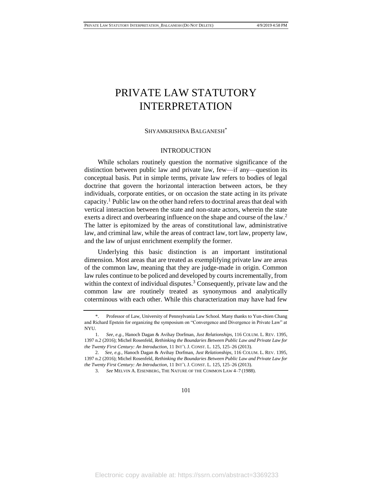#### SHYAMKRISHNA BALGANESH\*

## INTRODUCTION

While scholars routinely question the normative significance of the distinction between public law and private law, few—if any—question its conceptual basis. Put in simple terms, private law refers to bodies of legal doctrine that govern the horizontal interaction between actors, be they individuals, corporate entities, or on occasion the state acting in its private capacity.<sup>1</sup> Public law on the other hand refers to doctrinal areas that deal with vertical interaction between the state and non-state actors, wherein the state exerts a direct and overbearing influence on the shape and course of the law.<sup>2</sup> The latter is epitomized by the areas of constitutional law, administrative law, and criminal law, while the areas of contract law, tort law, property law, and the law of unjust enrichment exemplify the former.

Underlying this basic distinction is an important institutional dimension. Most areas that are treated as exemplifying private law are areas of the common law, meaning that they are judge-made in origin. Common law rules continue to be policed and developed by courts incrementally, from within the context of individual disputes.<sup>3</sup> Consequently, private law and the common law are routinely treated as synonymous and analytically coterminous with each other. While this characterization may have had few

<sup>\*.</sup> Professor of Law, University of Pennsylvania Law School. Many thanks to Yun-chien Chang and Richard Epstein for organizing the symposium on "Convergence and Divergence in Private Law" at NYU.

<sup>1.</sup> *See, e.g.*, Hanoch Dagan & Avihay Dorfman, *Just Relationships*, 116 COLUM. L. REV. 1395, 1397 n.2 (2016); Michel Rosenfeld, *Rethinking the Boundaries Between Public Law and Private Law for the Twenty First Century: An Introduction*, 11 INT'L J. CONST. L. 125, 125–26 (2013).

<sup>2.</sup> *See, e.g.*, Hanoch Dagan & Avihay Dorfman, *Just Relationships*, 116 COLUM. L. REV. 1395, 1397 n.2 (2016); Michel Rosenfeld, *Rethinking the Boundaries Between Public Law and Private Law for the Twenty First Century: An Introduction*, 11 INT'L J. CONST. L. 125, 125–26 (2013).

<sup>3.</sup> *See* MELVIN A. EISENBERG, THE NATURE OF THE COMMON LAW 4–7 (1988).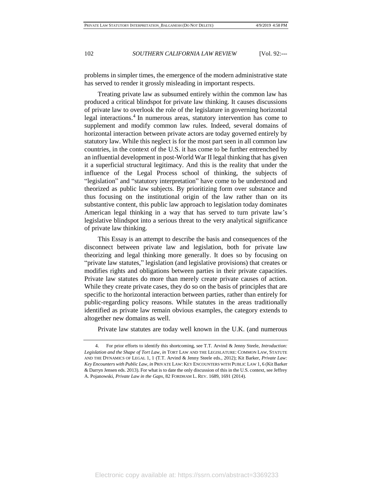problems in simpler times, the emergence of the modern administrative state has served to render it grossly misleading in important respects.

Treating private law as subsumed entirely within the common law has produced a critical blindspot for private law thinking. It causes discussions of private law to overlook the role of the legislature in governing horizontal legal interactions.<sup>4</sup> In numerous areas, statutory intervention has come to supplement and modify common law rules. Indeed, several domains of horizontal interaction between private actors are today governed entirely by statutory law. While this neglect is for the most part seen in all common law countries, in the context of the U.S. it has come to be further entrenched by an influential development in post-World War II legal thinking that has given it a superficial structural legitimacy. And this is the reality that under the influence of the Legal Process school of thinking, the subjects of "legislation" and "statutory interpretation" have come to be understood and theorized as public law subjects. By prioritizing form over substance and thus focusing on the institutional origin of the law rather than on its substantive content, this public law approach to legislation today dominates American legal thinking in a way that has served to turn private law's legislative blindspot into a serious threat to the very analytical significance of private law thinking.

This Essay is an attempt to describe the basis and consequences of the disconnect between private law and legislation, both for private law theorizing and legal thinking more generally. It does so by focusing on "private law statutes," legislation (and legislative provisions) that creates or modifies rights and obligations between parties in their private capacities. Private law statutes do more than merely create private causes of action. While they create private cases, they do so on the basis of principles that are specific to the horizontal interaction between parties, rather than entirely for public-regarding policy reasons. While statutes in the areas traditionally identified as private law remain obvious examples, the category extends to altogether new domains as well.

Private law statutes are today well known in the U.K. (and numerous

<sup>4.</sup> For prior efforts to identify this shortcoming, see T.T. Arvind & Jenny Steele, *Introduction: Legislation and the Shape of Tort Law*, *in* TORT LAW AND THE LEGISLATURE: COMMON LAW, STATUTE AND THE DYNAMICS OF LEGAL 1, 1 (T.T. Arvind & Jenny Steele eds., 2012); Kit Barker, *Private Law: Key Encounters with Public Law*, *in* PRIVATE LAW: KEY ENCOUNTERS WITH PUBLIC LAW 1, 6 (Kit Barker & Darryn Jensen eds. 2013). For what is to date the only discussion of this in the U.S. context, see Jeffrey A. Pojanowski, *Private Law in the Gaps*, 82 FORDHAM L. REV. 1689, 1691 (2014).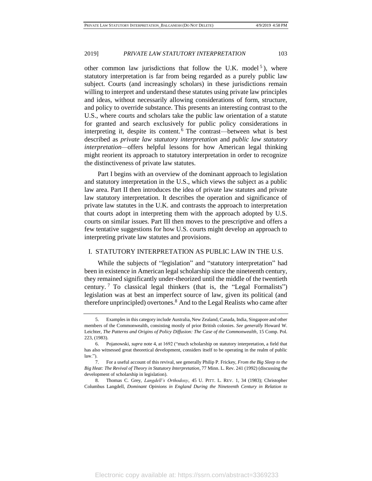other common law jurisdictions that follow the U.K. model<sup>5</sup>), where statutory interpretation is far from being regarded as a purely public law subject. Courts (and increasingly scholars) in these jurisdictions remain willing to interpret and understand these statutes using private law principles and ideas, without necessarily allowing considerations of form, structure, and policy to override substance. This presents an interesting contrast to the U.S., where courts and scholars take the public law orientation of a statute for granted and search exclusively for public policy considerations in interpreting it, despite its content. <sup>6</sup> The contrast—between what is best described as *private law statutory interpretation* and *public law statutory interpretation—*offers helpful lessons for how American legal thinking might reorient its approach to statutory interpretation in order to recognize the distinctiveness of private law statutes.

Part I begins with an overview of the dominant approach to legislation and statutory interpretation in the U.S., which views the subject as a public law area. Part II then introduces the idea of private law statutes and private law statutory interpretation. It describes the operation and significance of private law statutes in the U.K. and contrasts the approach to interpretation that courts adopt in interpreting them with the approach adopted by U.S. courts on similar issues. Part III then moves to the prescriptive and offers a few tentative suggestions for how U.S. courts might develop an approach to interpreting private law statutes and provisions.

#### I. STATUTORY INTERPRETATION AS PUBLIC LAW IN THE U.S.

While the subjects of "legislation" and "statutory interpretation" had been in existence in American legal scholarship since the nineteenth century, they remained significantly under-theorized until the middle of the twentieth century. <sup>7</sup> To classical legal thinkers (that is, the "Legal Formalists") legislation was at best an imperfect source of law, given its political (and therefore unprincipled) overtones.<sup>8</sup> And to the Legal Realists who came after

<sup>5.</sup> Examples in this category include Australia, New Zealand, Canada, India, Singapore and other members of the Commonwealth, consisting mostly of prior British colonies. *See generally* Howard W. Leichter, *The Patterns and Origins of Policy Diffusion: The Case of the Commonwealth*, 15 Comp. Pol. 223, (1983).

<sup>6.</sup> Pojanowski, *supra* note 4, at 1692 ("much scholarship on statutory interpretation, a field that has also witnessed great theoretical development, considers itself to be operating in the realm of public law.").

<sup>7.</sup> For a useful account of this revival, see generally Philip P. Frickey, *From the Big Sleep to the Big Heat: The Revival of Theory in Statutory Interpretation*, 77 Minn. L. Rev. 241 (1992) (discussing the development of scholarship in legislation).

<sup>8.</sup> Thomas C. Grey, *Langdell's Orthodoxy*, 45 U. PITT. L. REV. 1, 34 (1983); Christopher Columbus Langdell, *Dominant Opinions in England During the Nineteenth Century in Relation to*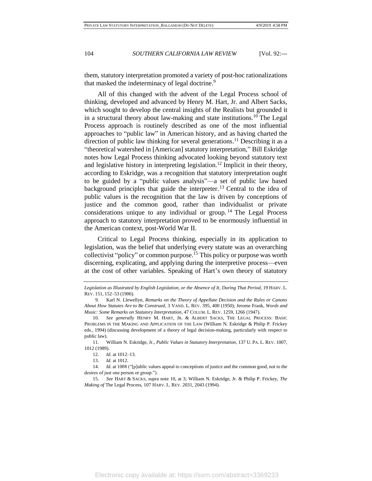them, statutory interpretation promoted a variety of post-hoc rationalizations that masked the indeterminacy of legal doctrine.<sup>9</sup>

All of this changed with the advent of the Legal Process school of thinking, developed and advanced by Henry M. Hart, Jr. and Albert Sacks, which sought to develop the central insights of the Realists but grounded it in a structural theory about law-making and state institutions.<sup>10</sup> The Legal Process approach is routinely described as one of the most influential approaches to "public law" in American history, and as having charted the direction of public law thinking for several generations.<sup>11</sup> Describing it as a "theoretical watershed in [American] statutory interpretation," Bill Eskridge notes how Legal Process thinking advocated looking beyond statutory text and legislative history in interpreting legislation.<sup>12</sup> Implicit in their theory, according to Eskridge, was a recognition that statutory interpretation ought to be guided by a "public values analysis"—a set of public law based background principles that guide the interpreter.<sup>13</sup> Central to the idea of public values is the recognition that the law is driven by conceptions of justice and the common good, rather than individualist or private considerations unique to any individual or group.<sup>14</sup> The Legal Process approach to statutory interpretation proved to be enormously influential in the American context, post-World War II.

Critical to Legal Process thinking, especially in its application to legislation, was the belief that underlying every statute was an overarching collectivist "policy" or common purpose.<sup>15</sup> This policy or purpose was worth discerning, explicating, and applying during the interpretive process—even at the cost of other variables. Speaking of Hart's own theory of statutory

*Legislation as Illustrated by English Legislation, or the Absence of It, During That Period*, 19 HARV. L. REV. 151, 152–53 (1906).

<sup>9.</sup> Karl N. Llewellyn, *Remarks on the Theory of Appellate Decision and the Rules or Canons About How Statutes Are to Be Construed*, 3 VAND. L. REV. 395, 400 (1950); Jerome Frank, *Words and Music: Some Remarks on Statutory Interpretation*, 47 COLUM. L. REV. 1259, 1266 (1947).

<sup>10.</sup> *See generally* HENRY M. HART, JR. & ALBERT SACKS, THE LEGAL PROCESS: BASIC PROBLEMS IN THE MAKING AND APPLICATION OF THE LAW (William N. Eskridge & Philip P. Frickey eds., 1994) (discussing development of a theory of legal decision-making, particularly with respect to public law).

<sup>11.</sup> William N. Eskridge, Jr., *Public Values in Statutory Interpretation*, 137 U. PA. L. REV. 1007, 1012 (1989).

<sup>12.</sup> *Id.* at 1012–13.

<sup>13.</sup> *Id.* at 1012.

<sup>14.</sup> *Id.* at 1008 ("[p]ublic values appeal to conceptions of justice and the common good, not to the desires of just one person or group.").

<sup>15.</sup> *See* HART & SACKS, supra note 10, at 3; William N. Eskridge, Jr. & Philip P. Frickey, *The Making of* The Legal Process, 107 HARV. L. REV. 2031, 2043 (1994).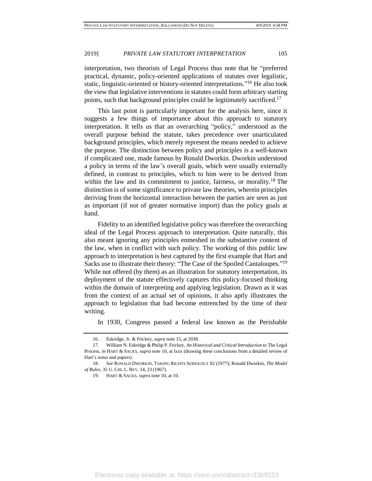interpretation, two theorists of Legal Process thus note that he "preferred practical, dynamic, policy-oriented applications of statutes over legalistic, static, linguistic-oriented or history-oriented interpretations."<sup>16</sup> He also took the view that legislative interventions in statutes could form arbitrary starting points, such that background principles could be legitimately sacrificed.<sup>17</sup>

This last point is particularly important for the analysis here, since it suggests a few things of importance about this approach to statutory interpretation. It tells us that an overarching "policy," understood as the overall purpose behind the statute, takes precedence over unarticulated background principles, which merely represent the means needed to achieve the purpose. The distinction between policy and principles is a well-known if complicated one, made famous by Ronald Dworkin. Dworkin understood a policy in terms of the law's overall goals, which were usually externally defined, in contrast to principles, which to him were to be derived from within the law and its commitment to justice, fairness, or morality.<sup>18</sup> The distinction is of some significance to private law theories, wherein principles deriving from the horizontal interaction between the parties are seen as just as important (if not of greater normative import) than the policy goals at hand.

Fidelity to an identified legislative policy was therefore the overarching ideal of the Legal Process approach to interpretation. Quite naturally, this also meant ignoring any principles enmeshed in the substantive content of the law, when in conflict with such policy. The working of this public law approach to interpretation is best captured by the first example that Hart and Sacks use to illustrate their theory: "The Case of the Spoiled Cantaloupes."<sup>19</sup> While not offered (by them) as an illustration for statutory interpretation, its deployment of the statute effectively captures this policy-focused thinking within the domain of interpreting and applying legislation. Drawn as it was from the context of an actual set of opinions, it also aptly illustrates the approach to legislation that had become entrenched by the time of their writing.

In 1930, Congress passed a federal law known as the Perishable

<sup>16.</sup> Eskridge, Jr. & Frickey, *supra* note 15, at 2038.

<sup>17.</sup> William N. Eskridge & Philip P. Frickey, *An Historical and Critical Introduction to* The Legal Process, *in* HART & SACKS, *supra* note 10, at lxxx (drawing these conclusions from a detailed review of Hart's notes and papers).

<sup>18.</sup> *See* RONALD DWORKIN, TAKING RIGHTS SERIOUSLY 82 (1977); Ronald Dworkin, *The Model of Rules*, 35 U. CHI. L. REV. 14, 23 (1967).

<sup>19.</sup> HART & SACKS, *supra* note 10, at 10.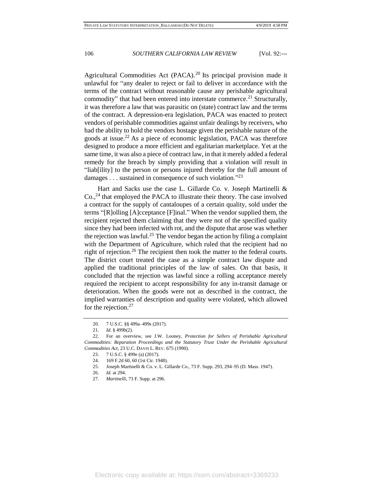Agricultural Commodities Act (PACA).<sup>20</sup> Its principal provision made it unlawful for "any dealer to reject or fail to deliver in accordance with the terms of the contract without reasonable cause any perishable agricultural commodity" that had been entered into interstate commerce.<sup>21</sup> Structurally, it was therefore a law that was parasitic on (state) contract law and the terms of the contract. A depression-era legislation, PACA was enacted to protect vendors of perishable commodities against unfair dealings by receivers, who had the ability to hold the vendors hostage given the perishable nature of the goods at issue.<sup>22</sup> As a piece of economic legislation, PACA was therefore designed to produce a more efficient and egalitarian marketplace. Yet at the same time, it was also a piece of contract law, in that it merely added a federal remedy for the breach by simply providing that a violation will result in "liab[ility] to the person or persons injured thereby for the full amount of damages  $\dots$  sustained in consequence of such violation."<sup>23</sup>

Hart and Sacks use the case L. Gillarde Co. v. Joseph Martinelli &  $Co.$ <sup>24</sup> that employed the PACA to illustrate their theory. The case involved a contract for the supply of cantaloupes of a certain quality, sold under the terms "[R]olling [A]cceptance [F]inal." When the vendor supplied them, the recipient rejected them claiming that they were not of the specified quality since they had been infected with rot, and the dispute that arose was whether the rejection was lawful.<sup>25</sup> The vendor began the action by filing a complaint with the Department of Agriculture, which ruled that the recipient had no right of rejection.<sup>26</sup> The recipient then took the matter to the federal courts. The district court treated the case as a simple contract law dispute and applied the traditional principles of the law of sales. On that basis, it concluded that the rejection was lawful since a rolling acceptance merely required the recipient to accept responsibility for any in-transit damage or deterioration. When the goods were not as described in the contract, the implied warranties of description and quality were violated, which allowed for the rejection. $27$ 

25. Joseph Martinelli & Co. v. L. Gillarde Co., 73 F. Supp. 293, 294–95 (D. Mass. 1947).

<sup>20.</sup> 7 U.S.C. §§ 499a–499s (2017).

<sup>21.</sup> *Id.* § 499b(2).

<sup>22.</sup> For an overview, see J.W. Looney, *Protection for Sellers of Perishable Agricultural Commodities: Reparation Proceedings and the Statutory Trust Under the Perishable Agricultural Commodities Act*, 23 U.C. DAVIS L. REV. 675 (1990).

<sup>23.</sup> 7 U.S.C. § 499e (a) (2017).

<sup>24.</sup> 169 F.2d 60, 60 (1st Cir. 1948).

<sup>26.</sup> *Id.* at 294.

<sup>27.</sup> *Martinelli*, 73 F. Supp. at 296.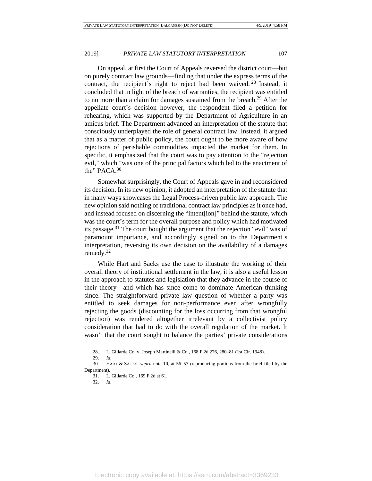On appeal, at first the Court of Appeals reversed the district court—but on purely contract law grounds—finding that under the express terms of the contract, the recipient's right to reject had been waived.<sup>28</sup> Instead, it concluded that in light of the breach of warranties, the recipient was entitled to no more than a claim for damages sustained from the breach.<sup>29</sup> After the appellate court's decision however, the respondent filed a petition for rehearing, which was supported by the Department of Agriculture in an amicus brief. The Department advanced an interpretation of the statute that consciously underplayed the role of general contract law. Instead, it argued that as a matter of public policy, the court ought to be more aware of how rejections of perishable commodities impacted the market for them. In specific, it emphasized that the court was to pay attention to the "rejection evil," which "was one of the principal factors which led to the enactment of the" PACA.<sup>30</sup>

Somewhat surprisingly, the Court of Appeals gave in and reconsidered its decision. In its new opinion, it adopted an interpretation of the statute that in many ways showcases the Legal Process-driven public law approach. The new opinion said nothing of traditional contract law principles as it once had, and instead focused on discerning the "intent[ion]" behind the statute, which was the court's term for the overall purpose and policy which had motivated its passage.<sup>31</sup> The court bought the argument that the rejection "evil" was of paramount importance, and accordingly signed on to the Department's interpretation, reversing its own decision on the availability of a damages remedy.<sup>32</sup>

While Hart and Sacks use the case to illustrate the working of their overall theory of institutional settlement in the law, it is also a useful lesson in the approach to statutes and legislation that they advance in the course of their theory—and which has since come to dominate American thinking since. The straightforward private law question of whether a party was entitled to seek damages for non-performance even after wrongfully rejecting the goods (discounting for the loss occurring from that wrongful rejection) was rendered altogether irrelevant by a collectivist policy consideration that had to do with the overall regulation of the market. It wasn't that the court sought to balance the parties' private considerations

32. *Id.*

<sup>28.</sup> L. Gillarde Co. v. Joseph Martinelli & Co., 168 F.2d 276, 280–81 (1st Cir. 1948).

<sup>29.</sup> *Id.*

<sup>30.</sup> HART & SACKS, *supra* note 10, at 56–57 (reproducing portions from the brief filed by the Department).

<sup>31.</sup> L. Gillarde Co., 169 F.2d at 61.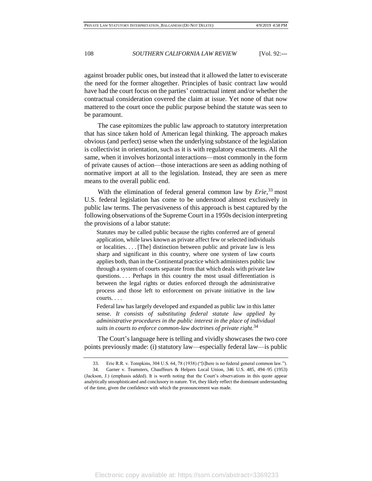against broader public ones, but instead that it allowed the latter to eviscerate the need for the former altogether. Principles of basic contract law would have had the court focus on the parties' contractual intent and/or whether the contractual consideration covered the claim at issue. Yet none of that now mattered to the court once the public purpose behind the statute was seen to be paramount.

The case epitomizes the public law approach to statutory interpretation that has since taken hold of American legal thinking. The approach makes obvious (and perfect) sense when the underlying substance of the legislation is collectivist in orientation, such as it is with regulatory enactments. All the same, when it involves horizontal interactions—most commonly in the form of private causes of action—those interactions are seen as adding nothing of normative import at all to the legislation. Instead, they are seen as mere means to the overall public end.

With the elimination of federal general common law by *Erie*, <sup>33</sup> most U.S. federal legislation has come to be understood almost exclusively in public law terms. The pervasiveness of this approach is best captured by the following observations of the Supreme Court in a 1950s decision interpreting the provisions of a labor statute:

Statutes may be called public because the rights conferred are of general application, while laws known as private affect few or selected individuals or localities. . . . [The] distinction between public and private law is less sharp and significant in this country, where one system of law courts applies both, than in the Continental practice which administers public law through a system of courts separate from that which deals with private law questions. . . . Perhaps in this country the most usual differentiation is between the legal rights or duties enforced through the administrative process and those left to enforcement on private initiative in the law courts. . . .

Federal law has largely developed and expanded as public law in this latter sense. *It consists of substituting federal statute law applied by administrative procedures in the public interest in the place of individual suits in courts to enforce common-law doctrines of private right.*<sup>34</sup>

The Court's language here is telling and vividly showcases the two core points previously made: (i) statutory law—especially federal law—is public

<sup>33.</sup> Erie R.R. v. Tompkins, 304 U.S. 64, 78 (1938) ("[t]here is no federal general common law.").

<sup>34.</sup> Garner v. Teamsters, Chauffeurs & Helpers Local Union, 346 U.S. 485, 494–95 (1953) (Jackson, J.) (emphasis added). It is worth noting that the Court's observations in this quote appear analytically unsophisticated and conclusory in nature. Yet, they likely reflect the dominant understanding of the time, given the confidence with which the pronouncement was made.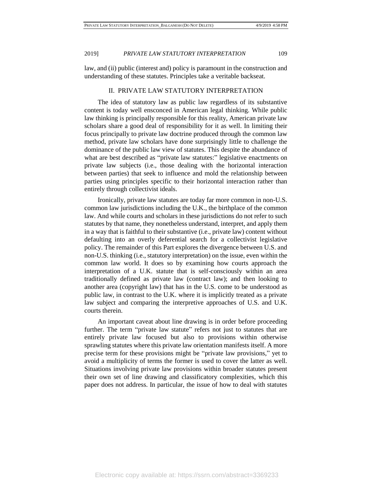law, and (ii) public (interest and) policy is paramount in the construction and understanding of these statutes. Principles take a veritable backseat.

#### II. PRIVATE LAW STATUTORY INTERPRETATION

The idea of statutory law as public law regardless of its substantive content is today well ensconced in American legal thinking. While public law thinking is principally responsible for this reality, American private law scholars share a good deal of responsibility for it as well. In limiting their focus principally to private law doctrine produced through the common law method, private law scholars have done surprisingly little to challenge the dominance of the public law view of statutes. This despite the abundance of what are best described as "private law statutes:" legislative enactments on private law subjects (i.e., those dealing with the horizontal interaction between parties) that seek to influence and mold the relationship between parties using principles specific to their horizontal interaction rather than entirely through collectivist ideals.

Ironically, private law statutes are today far more common in non-U.S. common law jurisdictions including the U.K., the birthplace of the common law. And while courts and scholars in these jurisdictions do not refer to such statutes by that name, they nonetheless understand, interpret, and apply them in a way that is faithful to their substantive (i.e., private law) content without defaulting into an overly deferential search for a collectivist legislative policy. The remainder of this Part explores the divergence between U.S. and non-U.S. thinking (i.e., statutory interpretation) on the issue, even within the common law world. It does so by examining how courts approach the interpretation of a U.K. statute that is self-consciously within an area traditionally defined as private law (contract law); and then looking to another area (copyright law) that has in the U.S. come to be understood as public law, in contrast to the U.K. where it is implicitly treated as a private law subject and comparing the interpretive approaches of U.S. and U.K. courts therein.

An important caveat about line drawing is in order before proceeding further. The term "private law statute" refers not just to statutes that are entirely private law focused but also to provisions within otherwise sprawling statutes where this private law orientation manifests itself. A more precise term for these provisions might be "private law provisions," yet to avoid a multiplicity of terms the former is used to cover the latter as well. Situations involving private law provisions within broader statutes present their own set of line drawing and classificatory complexities, which this paper does not address. In particular, the issue of how to deal with statutes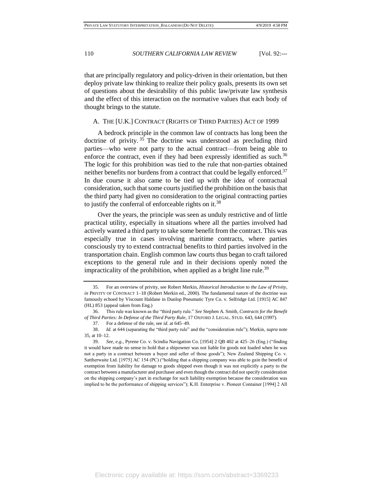that are principally regulatory and policy-driven in their orientation, but then deploy private law thinking to realize their policy goals, presents its own set of questions about the desirability of this public law/private law synthesis and the effect of this interaction on the normative values that each body of thought brings to the statute.

#### A. THE [U.K.] CONTRACT (RIGHTS OF THIRD PARTIES) ACT OF 1999

A bedrock principle in the common law of contracts has long been the doctrine of privity. <sup>35</sup> The doctrine was understood as precluding third parties—who were not party to the actual contract—from being able to enforce the contract, even if they had been expressly identified as such.<sup>36</sup> The logic for this prohibition was tied to the rule that non-parties obtained neither benefits nor burdens from a contract that could be legally enforced.<sup>37</sup> In due course it also came to be tied up with the idea of contractual consideration, such that some courts justified the prohibition on the basis that the third party had given no consideration to the original contracting parties to justify the conferral of enforceable rights on it.<sup>38</sup>

Over the years, the principle was seen as unduly restrictive and of little practical utility, especially in situations where all the parties involved had actively wanted a third party to take some benefit from the contract. This was especially true in cases involving maritime contracts, where parties consciously try to extend contractual benefits to third parties involved in the transportation chain. English common law courts thus began to craft tailored exceptions to the general rule and in their decisions openly noted the impracticality of the prohibition, when applied as a bright line rule.<sup>39</sup>

<sup>35.</sup> For an overview of privity, see Robert Merkin, *Historical Introduction to the Law of Privity*, *in* PRIVITY OF CONTRACT 1–18 (Robert Merkin ed., 2000). The fundamental nature of the doctrine was famously echoed by Viscount Haldane in Dunlop Pneumatic Tyre Co. v. Selfridge Ltd. [1915] AC 847 (HL) 853 (appeal taken from Eng.)

<sup>36.</sup> This rule was known as the "third party rule." *See* Stephen A. Smith, *Contracts for the Benefit of Third Parties: In Defense of the Third Party Rule*, 17 OXFORD J. LEGAL. STUD. 643, 644 (1997).

<sup>37.</sup> For a defense of the rule, see *id.* at 645–49.

<sup>38.</sup> *Id.* at 644 (separating the "third party rule" and the "consideration rule"); Merkin, *supra* note 35, at 10–12.

<sup>39.</sup> *See*, *e.g.*, Pyrene Co. v. Scindia Navigation Co. [1954] 2 QB 402 at 425–26 (Eng.) ("finding it would have made no sense to hold that a shipowner was not liable for goods not loaded when he was not a party in a contract between a buyer and seller of those goods"); New Zealand Shipping Co. v. Sattherwaite Ltd. [1975] AC 154 (PC) ("holding that a shipping company was able to gain the benefit of exemption from liability for damage to goods shipped even though it was not explicitly a party to the contract between a manufacturer and purchaser and even though the contract did not specify consideration on the shipping company's part in exchange for such liability exemption because the consideration was implied to be the performance of shipping services"); K.H. Enterprise v. Pioneer Container [1994] 2 All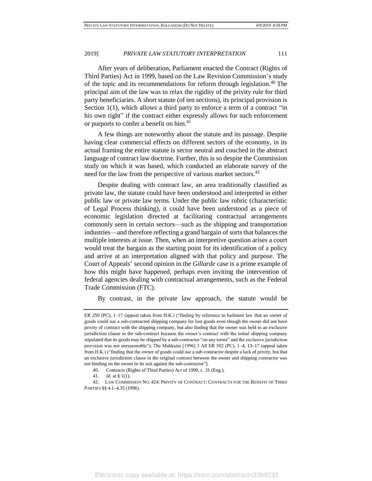After years of deliberation, Parliament enacted the Contract (Rights of Third Parties) Act in 1999, based on the Law Revision Commission's study of the topic and its recommendations for reform through legislation.<sup>40</sup> The principal aim of the law was to relax the rigidity of the privity rule for third party beneficiaries. A short statute (of ten sections), its principal provision is Section 1(1), which allows a third party to enforce a term of a contract "in his own right" if the contract either expressly allows for such enforcement or purports to confer a benefit on him.<sup>41</sup>

A few things are noteworthy about the statute and its passage. Despite having clear commercial effects on different sectors of the economy, in its actual framing the entire statute is sector neutral and couched in the abstract language of contract law doctrine. Further, this is so despite the Commission study on which it was based, which conducted an elaborate survey of the need for the law from the perspective of various market sectors.<sup>42</sup>

Despite dealing with contract law, an area traditionally classified as private law, the statute could have been understood and interpreted in either public law or private law terms. Under the public law rubric (characteristic of Legal Process thinking), it could have been understood as a piece of economic legislation directed at facilitating contractual arrangements commonly seen in certain sectors—such as the shipping and transportation industries—and therefore reflecting a grand bargain of sorts that balances the multiple interests at issue. Then, when an interpretive question arises a court would treat the bargain as the starting point for its identification of a policy and arrive at an interpretation aligned with that policy and purpose. The Court of Appeals' second opinion in the *Gillarde* case is a prime example of how this might have happened, perhaps even inviting the intervention of federal agencies dealing with contractual arrangements, such as the Federal Trade Commission (FTC).

By contrast, in the private law approach, the statute would be

ER 250 (PC), 1–17 (appeal taken from H.K.) ("finding by reference to bailment law that an owner of goods could sue a sub-contracted shipping company for lost goods even though the owner did not have privity of contract with the shipping company, but also finding that the owner was held to an exclusive jurisdiction clause in the sub-contract because the owner's contract with the initial shipping company stipulated that its goods may be shipped by a sub-contractor "on any terms" and the exclusive jurisdiction provision was not unreasonable"); The Mahkutai [1996] 3 All ER 502 (PC), 1–4, 13–17 (appeal taken from H.K.) ("finding that the owner of goods could sue a sub-contractor despite a lack of privity, but that an exclusive jurisdiction clause in the original contract between the owner and shipping contractor was not binding on the owner in its suit against the sub-contractor").

<sup>40.</sup> Contracts (Rights of Third Parties) Act of 1999, c. 31 (Eng.).

<sup>41.</sup> *Id.* at § 1(1).

<sup>42.</sup> LAW COMMISSION NO. 424: PRIVITY OF CONTRACT: CONTRACTS FOR THE BENEFIT OF THIRD PARTIES §§ 4.1–4.35 (1996).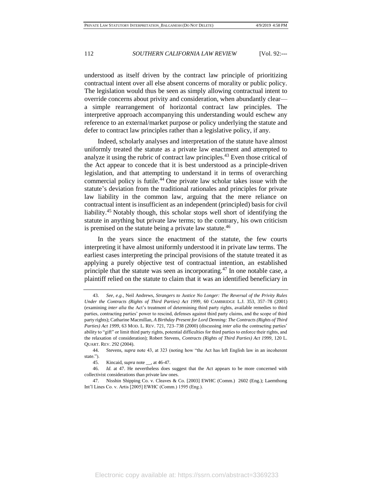understood as itself driven by the contract law principle of prioritizing contractual intent over all else absent concerns of morality or public policy. The legislation would thus be seen as simply allowing contractual intent to override concerns about privity and consideration, when abundantly clear a simple rearrangement of horizontal contract law principles. The interpretive approach accompanying this understanding would eschew any reference to an external/market purpose or policy underlying the statute and defer to contract law principles rather than a legislative policy, if any.

Indeed, scholarly analyses and interpretation of the statute have almost uniformly treated the statute as a private law enactment and attempted to analyze it using the rubric of contract law principles.<sup>43</sup> Even those critical of the Act appear to concede that it is best understood as a principle-driven legislation, and that attempting to understand it in terms of overarching commercial policy is futile.<sup>44</sup> One private law scholar takes issue with the statute's deviation from the traditional rationales and principles for private law liability in the common law, arguing that the mere reliance on contractual intent is insufficient as an independent (principled) basis for civil liability.<sup>45</sup> Notably though, this scholar stops well short of identifying the statute in anything but private law terms; to the contrary, his own criticism is premised on the statute being a private law statute. $46$ 

In the years since the enactment of the statute, the few courts interpreting it have almost uniformly understood it in private law terms. The earliest cases interpreting the principal provisions of the statute treated it as applying a purely objective test of contractual intention, an established principle that the statute was seen as incorporating.<sup>47</sup> In one notable case, a plaintiff relied on the statute to claim that it was an identified beneficiary in

<sup>43.</sup> *See*, *e.g.*, Neil Andrews, *Strangers to Justice No Longer: The Reversal of the Privity Rules Under the Contracts (Rights of Third Parties) Act 1999*, 60 CAMBRIDGE L.J. 353, 357–78 (2001) (examining *inter alia* the Act's treatment of determining third party rights, available remedies to third parties, contracting parties' power to rescind, defenses against third party claims, and the scope of third party rights); Catharine Macmillan, *A Birthday Present for Lord Denning: The Contracts (Rights of Third Parties) Act 1999*, 63 MOD. L. REV. 721, 723–738 (2000) (discussing *inter alia* the contracting parties' ability to "gift" or limit third party rights, potential difficulties for third parties to enforce their rights, and the relaxation of consideration); Robert Stevens, *Contracts (Rights of Third Parties) Act 1999*, 120 L. QUART. REV. 292 (2004).

<sup>44.</sup> Stevens, *supra* note 43, at 323 (noting how "the Act has left English law in an incoherent state.").

<sup>45.</sup> Kincaid, *supra* note \_\_, at 46-47.

<sup>46.</sup> *Id.* at 47. He nevertheless does suggest that the Act appears to be more concerned with collectivist considerations than private law ones.

<sup>47.</sup> Nisshin Shipping Co. v. Cleaves & Co. [2003] EWHC (Comm.) 2602 (Eng.); Laemthong Int'l Lines Co. v. Artis [2005] EWHC (Comm.) 1595 (Eng.).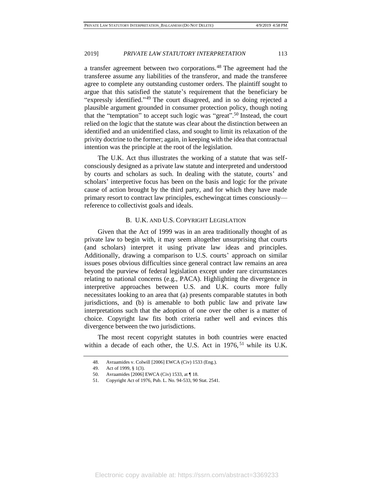a transfer agreement between two corporations.<sup>48</sup> The agreement had the transferee assume any liabilities of the transferor, and made the transferee agree to complete any outstanding customer orders. The plaintiff sought to argue that this satisfied the statute's requirement that the beneficiary be "expressly identified."<sup>49</sup> The court disagreed, and in so doing rejected a plausible argument grounded in consumer protection policy, though noting that the "temptation" to accept such logic was "great".<sup>50</sup> Instead, the court relied on the logic that the statute was clear about the distinction between an identified and an unidentified class, and sought to limit its relaxation of the privity doctrine to the former; again, in keeping with the idea that contractual intention was the principle at the root of the legislation.

The U.K. Act thus illustrates the working of a statute that was selfconsciously designed as a private law statute and interpreted and understood by courts and scholars as such. In dealing with the statute, courts' and scholars' interpretive focus has been on the basis and logic for the private cause of action brought by the third party, and for which they have made primary resort to contract law principles, eschewingcat times consciously reference to collectivist goals and ideals.

#### B. U.K. AND U.S. COPYRIGHT LEGISLATION

Given that the Act of 1999 was in an area traditionally thought of as private law to begin with, it may seem altogether unsurprising that courts (and scholars) interpret it using private law ideas and principles. Additionally, drawing a comparison to U.S. courts' approach on similar issues poses obvious difficulties since general contract law remains an area beyond the purview of federal legislation except under rare circumstances relating to national concerns (e.g., PACA). Highlighting the divergence in interpretive approaches between U.S. and U.K. courts more fully necessitates looking to an area that (a) presents comparable statutes in both jurisdictions, and (b) is amenable to both public law and private law interpretations such that the adoption of one over the other is a matter of choice. Copyright law fits both criteria rather well and evinces this divergence between the two jurisdictions.

The most recent copyright statutes in both countries were enacted within a decade of each other, the U.S. Act in 1976,<sup>51</sup> while its U.K.

<sup>48.</sup> Avraamides v. Colwill [2006] EWCA (Civ) 1533 (Eng.).

<sup>49.</sup> Act of 1999, § 1(3).

<sup>50.</sup> Avraamides [2006] EWCA (Civ) 1533, at ¶ 18.

<sup>51.</sup> Copyright Act of 1976, Pub. L. No. 94-533, 90 Stat. 2541.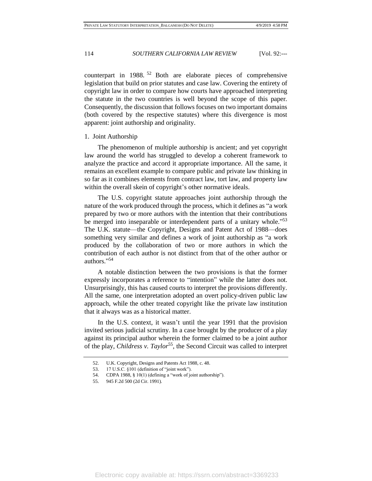counterpart in 1988. <sup>52</sup> Both are elaborate pieces of comprehensive legislation that build on prior statutes and case law. Covering the entirety of copyright law in order to compare how courts have approached interpreting the statute in the two countries is well beyond the scope of this paper. Consequently, the discussion that follows focuses on two important domains (both covered by the respective statutes) where this divergence is most apparent: joint authorship and originality.

#### 1. Joint Authorship

The phenomenon of multiple authorship is ancient; and yet copyright law around the world has struggled to develop a coherent framework to analyze the practice and accord it appropriate importance. All the same, it remains an excellent example to compare public and private law thinking in so far as it combines elements from contract law, tort law, and property law within the overall skein of copyright's other normative ideals.

The U.S. copyright statute approaches joint authorship through the nature of the work produced through the process, which it defines as "a work prepared by two or more authors with the intention that their contributions be merged into inseparable or interdependent parts of a unitary whole."<sup>53</sup> The U.K. statute—the Copyright, Designs and Patent Act of 1988—does something very similar and defines a work of joint authorship as "a work produced by the collaboration of two or more authors in which the contribution of each author is not distinct from that of the other author or authors." 54

A notable distinction between the two provisions is that the former expressly incorporates a reference to "intention" while the latter does not. Unsurprisingly, this has caused courts to interpret the provisions differently. All the same, one interpretation adopted an overt policy-driven public law approach, while the other treated copyright like the private law institution that it always was as a historical matter.

In the U.S. context, it wasn't until the year 1991 that the provision invited serious judicial scrutiny. In a case brought by the producer of a play against its principal author wherein the former claimed to be a joint author of the play, *Childress v. Taylor*<sup>55</sup>, the Second Circuit was called to interpret

<sup>52.</sup> U.K. Copyright, Designs and Patents Act 1988, c. 48.

<sup>53.</sup> 17 U.S.C. §101 (definition of "joint work").

<sup>54.</sup> CDPA 1988, § 10(1) (defining a "work of joint authorship").

<sup>55.</sup> 945 F.2d 500 (2d Cir. 1991).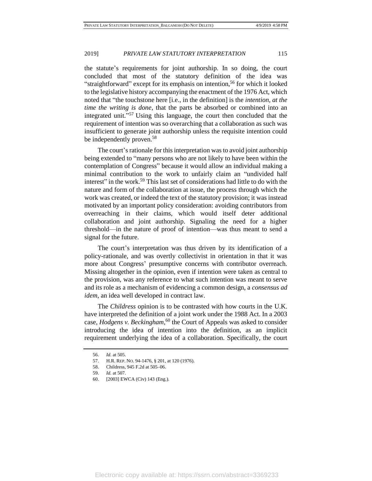the statute's requirements for joint authorship. In so doing, the court concluded that most of the statutory definition of the idea was "straightforward" except for its emphasis on intention,<sup>56</sup> for which it looked to the legislative history accompanying the enactment of the 1976 Act, which noted that "the touchstone here [i.e., in the definition] is the *intention, at the time the writing is done*, that the parts be absorbed or combined into an integrated unit." <sup>57</sup> Using this language, the court then concluded that the requirement of intention was so overarching that a collaboration as such was insufficient to generate joint authorship unless the requisite intention could be independently proven.<sup>58</sup>

The court's rationale for this interpretation was to avoid joint authorship being extended to "many persons who are not likely to have been within the contemplation of Congress" because it would allow an individual making a minimal contribution to the work to unfairly claim an "undivided half interest" in the work.<sup>59</sup> This last set of considerations had little to do with the nature and form of the collaboration at issue, the process through which the work was created, or indeed the text of the statutory provision; it was instead motivated by an important policy consideration: avoiding contributors from overreaching in their claims, which would itself deter additional collaboration and joint authorship. Signaling the need for a higher threshold—in the nature of proof of intention—was thus meant to send a signal for the future.

The court's interpretation was thus driven by its identification of a policy-rationale, and was overtly collectivist in orientation in that it was more about Congress' presumptive concerns with contributor overreach. Missing altogether in the opinion, even if intention were taken as central to the provision, was any reference to what such intention was meant to serve and its role as a mechanism of evidencing a common design, a *consensus ad idem*, an idea well developed in contract law.

The *Childress* opinion is to be contrasted with how courts in the U.K. have interpreted the definition of a joint work under the 1988 Act. In a 2003 case, *Hodgens v. Beckingham*,<sup>60</sup> the Court of Appeals was asked to consider introducing the idea of intention into the definition, as an implicit requirement underlying the idea of a collaboration. Specifically, the court

<sup>56.</sup> *Id.* at 505.

<sup>57.</sup> H.R. REP. NO. 94-1476, § 201, at 120 (1976).

<sup>58.</sup> Childress, 945 F.2d at 505–06.

<sup>59.</sup> *Id.* at 507.

<sup>60.</sup> [2003] EWCA (Civ) 143 (Eng.).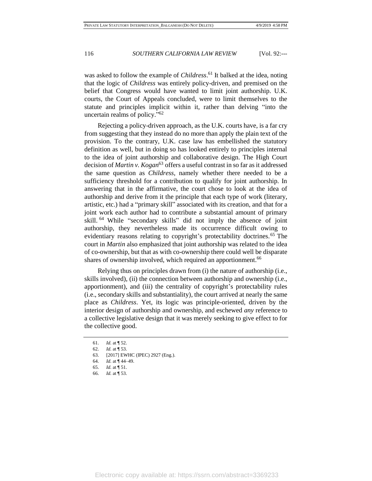was asked to follow the example of *Childress*. <sup>61</sup> It balked at the idea, noting that the logic of *Childress* was entirely policy-driven, and premised on the belief that Congress would have wanted to limit joint authorship. U.K. courts, the Court of Appeals concluded, were to limit themselves to the statute and principles implicit within it, rather than delving "into the uncertain realms of policy."<sup>62</sup>

Rejecting a policy-driven approach, as the U.K. courts have, is a far cry from suggesting that they instead do no more than apply the plain text of the provision. To the contrary, U.K. case law has embellished the statutory definition as well, but in doing so has looked entirely to principles internal to the idea of joint authorship and collaborative design. The High Court decision of *Martin v. Kogan*<sup>63</sup> offers a useful contrast in so far as it addressed the same question as *Childress*, namely whether there needed to be a sufficiency threshold for a contribution to qualify for joint authorship. In answering that in the affirmative, the court chose to look at the idea of authorship and derive from it the principle that each type of work (literary, artistic, etc.) had a "primary skill" associated with its creation, and that for a joint work each author had to contribute a substantial amount of primary skill. <sup>64</sup> While "secondary skills" did not imply the absence of joint authorship, they nevertheless made its occurrence difficult owing to evidentiary reasons relating to copyright's protectability doctrines.<sup>65</sup> The court in *Martin* also emphasized that joint authorship was related to the idea of co-ownership, but that as with co-ownership there could well be disparate shares of ownership involved, which required an apportionment.<sup>66</sup>

Relying thus on principles drawn from (i) the nature of authorship (i.e., skills involved), (ii) the connection between authorship and ownership (i.e., apportionment), and (iii) the centrality of copyright's protectability rules (i.e., secondary skills and substantiality), the court arrived at nearly the same place as *Childress*. Yet, its logic was principle-oriented, driven by the interior design of authorship and ownership, and eschewed *any* reference to a collective legislative design that it was merely seeking to give effect to for the collective good.

- 65. *Id.* at ¶ 51.
- 66. *Id.* at ¶ 53.

<sup>61.</sup> *Id.* at ¶ 52.

<sup>62.</sup> *Id.* at ¶ 53.

<sup>63.</sup> [2017] EWHC (IPEC) 2927 (Eng.).

<sup>64.</sup> *Id.* at ¶ 44–49.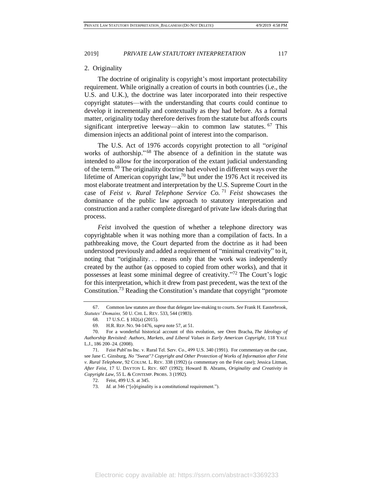#### 2. Originality

The doctrine of originality is copyright's most important protectability requirement. While originally a creation of courts in both countries (i.e., the U.S. and U.K.), the doctrine was later incorporated into their respective copyright statutes—with the understanding that courts could continue to develop it incrementally and contextually as they had before. As a formal matter, originality today therefore derives from the statute but affords courts significant interpretive leeway—akin to common law statutes. <sup>67</sup> This dimension injects an additional point of interest into the comparison.

The U.S. Act of 1976 accords copyright protection to all "*original* works of authorship."<sup>68</sup> The absence of a definition in the statute was intended to allow for the incorporation of the extant judicial understanding of the term.<sup>69</sup> The originality doctrine had evolved in different ways over the lifetime of American copyright law,  $\frac{70}{10}$  but under the 1976 Act it received its most elaborate treatment and interpretation by the U.S. Supreme Court in the case of *Feist v. Rural Telephone Service Co.* <sup>71</sup> *Feist* showcases the dominance of the public law approach to statutory interpretation and construction and a rather complete disregard of private law ideals during that process.

*Feist* involved the question of whether a telephone directory was copyrightable when it was nothing more than a compilation of facts. In a pathbreaking move, the Court departed from the doctrine as it had been understood previously and added a requirement of "minimal creativity" to it, noting that "originality. . . means only that the work was independently created by the author (as opposed to copied from other works), and that it possesses at least some minimal degree of creativity." <sup>72</sup> The Court's logic for this interpretation, which it drew from past precedent, was the text of the Constitution.<sup>73</sup> Reading the Constitution's mandate that copyright "promote

72. Feist, 499 U.S. at 345.

<sup>67.</sup> Common law statutes are those that delegate law-making to courts. *See* Frank H. Easterbrook*, Statutes' Domains,* 50 U. CHI. L. REV. 533, 544 (1983).

<sup>68.</sup> 17 U.S.C. § 102(a) (2015).

<sup>69.</sup> H.R. REP. NO. 94-1476, *supra* note 57, at 51.

<sup>70.</sup> For a wonderful historical account of this evolution, see Oren Bracha, *The Ideology of Authorship Revisited: Authors, Markets, and Liberal Values in Early American Copyright*, 118 YALE L.J., 186 200–24. (2008).

<sup>71.</sup> Feist Publ'ns Inc. v. Rural Tel. Serv. Co., 499 U.S. 340 (1991). For commentary on the case, see Jane C. Ginsburg, *No "Sweat"? Copyright and Other Protection of Works of Information after Feist v. Rural Telephone*, 92 COLUM. L. REV. 338 (1992) (a commentary on the Feist case); Jessica Litman, *After Feist*, 17 U. DAYTON L. REV. 607 (1992); Howard B. Abrams, *Originality and Creativity in Copyright Law*, 55 L. & CONTEMP. PROBS. 3 (1992).

<sup>73.</sup> *Id.* at 346 ("[o]riginality is a constitutional requirement.").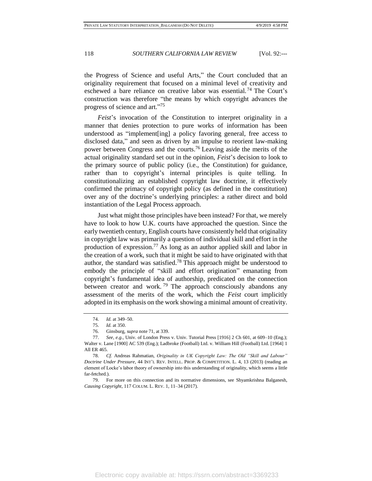the Progress of Science and useful Arts," the Court concluded that an originality requirement that focused on a minimal level of creativity and eschewed a bare reliance on creative labor was essential. <sup>74</sup> The Court's construction was therefore "the means by which copyright advances the progress of science and art."<sup>75</sup>

*Feist*'s invocation of the Constitution to interpret originality in a manner that denies protection to pure works of information has been understood as "implement[ing] a policy favoring general, free access to disclosed data," and seen as driven by an impulse to reorient law-making power between Congress and the courts.<sup>76</sup> Leaving aside the merits of the actual originality standard set out in the opinion, *Feist*'s decision to look to the primary source of public policy (i.e., the Constitution) for guidance, rather than to copyright's internal principles is quite telling. In constitutionalizing an established copyright law doctrine, it effectively confirmed the primacy of copyright policy (as defined in the constitution) over any of the doctrine's underlying principles: a rather direct and bold instantiation of the Legal Process approach.

Just what might those principles have been instead? For that, we merely have to look to how U.K. courts have approached the question. Since the early twentieth century, English courts have consistently held that originality in copyright law was primarily a question of individual skill and effort in the production of expression.<sup>77</sup> As long as an author applied skill and labor in the creation of a work, such that it might be said to have originated with that author, the standard was satisfied.<sup>78</sup> This approach might be understood to embody the principle of "skill and effort origination" emanating from copyright's fundamental idea of authorship, predicated on the connection between creator and work.<sup>79</sup> The approach consciously abandons any assessment of the merits of the work, which the *Feist* court implicitly adopted in its emphasis on the work showing a minimal amount of creativity.

<sup>74.</sup> *Id.* at 349–50.

<sup>75.</sup> *Id.* at 350.

<sup>76.</sup> Ginsburg, *supra* note 71, at 339.

<sup>77.</sup> *See, e.g.*, Univ. of London Press v. Univ. Tutorial Press [1916] 2 Ch 601, at 609–10 (Eng.); Walter v. Lane [1900] AC 539 (Eng.); Ladbroke (Football) Ltd. v. William Hill (Football) Ltd. [1964] 1 All ER 465.

<sup>78.</sup> *Cf.* Andreas Rahmatian, *Originality in UK Copyright Law: The Old "Skill and Labour" Doctrine Under Pressure*, 44 INT'L REV. INTELL. PROP. & COMPETITION. L. 4, 13 (2013) (reading an element of Locke's labor theory of ownership into this understanding of originality, which seems a little far-fetched.).

<sup>79.</sup> For more on this connection and its normative dimensions, see Shyamkrishna Balganesh, *Causing Copyright*, 117 COLUM. L. REV. 1, 11–34 (2017).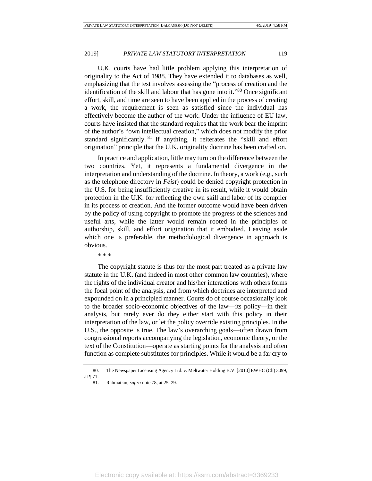U.K. courts have had little problem applying this interpretation of originality to the Act of 1988. They have extended it to databases as well, emphasizing that the test involves assessing the "process of creation and the identification of the skill and labour that has gone into it."<sup>80</sup> Once significant effort, skill, and time are seen to have been applied in the process of creating a work, the requirement is seen as satisfied since the individual has effectively become the author of the work. Under the influence of EU law, courts have insisted that the standard requires that the work bear the imprint of the author's "own intellectual creation," which does not modify the prior standard significantly. <sup>81</sup> If anything, it reiterates the "skill and effort origination" principle that the U.K. originality doctrine has been crafted on.

In practice and application, little may turn on the difference between the two countries. Yet, it represents a fundamental divergence in the interpretation and understanding of the doctrine. In theory, a work (e.g., such as the telephone directory in *Feist*) could be denied copyright protection in the U.S. for being insufficiently creative in its result, while it would obtain protection in the U.K. for reflecting the own skill and labor of its compiler in its process of creation. And the former outcome would have been driven by the policy of using copyright to promote the progress of the sciences and useful arts, while the latter would remain rooted in the principles of authorship, skill, and effort origination that it embodied. Leaving aside which one is preferable, the methodological divergence in approach is obvious.

\* \* \*

The copyright statute is thus for the most part treated as a private law statute in the U.K. (and indeed in most other common law countries), where the rights of the individual creator and his/her interactions with others forms the focal point of the analysis, and from which doctrines are interpreted and expounded on in a principled manner. Courts do of course occasionally look to the broader socio-economic objectives of the law—its policy—in their analysis, but rarely ever do they either start with this policy in their interpretation of the law, or let the policy override existing principles. In the U.S., the opposite is true. The law's overarching goals—often drawn from congressional reports accompanying the legislation, economic theory, or the text of the Constitution—operate as starting points for the analysis and often function as complete substitutes for principles. While it would be a far cry to

<sup>80.</sup> The Newspaper Licensing Agency Ltd. v. Meltwater Holding B.V. [2010] EWHC (Ch) 3099, at ¶ 71.

<sup>81.</sup> Rahmatian, *supra* note 78, at 25–29.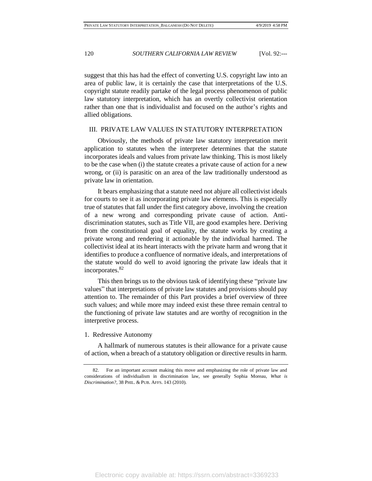suggest that this has had the effect of converting U.S. copyright law into an area of public law, it is certainly the case that interpretations of the U.S. copyright statute readily partake of the legal process phenomenon of public law statutory interpretation, which has an overtly collectivist orientation rather than one that is individualist and focused on the author's rights and allied obligations.

#### III. PRIVATE LAW VALUES IN STATUTORY INTERPRETATION

Obviously, the methods of private law statutory interpretation merit application to statutes when the interpreter determines that the statute incorporates ideals and values from private law thinking. This is most likely to be the case when (i) the statute creates a private cause of action for a new wrong, or (ii) is parasitic on an area of the law traditionally understood as private law in orientation.

It bears emphasizing that a statute need not abjure all collectivist ideals for courts to see it as incorporating private law elements. This is especially true of statutes that fall under the first category above, involving the creation of a new wrong and corresponding private cause of action. Antidiscrimination statutes, such as Title VII, are good examples here. Deriving from the constitutional goal of equality, the statute works by creating a private wrong and rendering it actionable by the individual harmed. The collectivist ideal at its heart interacts with the private harm and wrong that it identifies to produce a confluence of normative ideals, and interpretations of the statute would do well to avoid ignoring the private law ideals that it incorporates.<sup>82</sup>

This then brings us to the obvious task of identifying these "private law values" that interpretations of private law statutes and provisions should pay attention to. The remainder of this Part provides a brief overview of three such values; and while more may indeed exist these three remain central to the functioning of private law statutes and are worthy of recognition in the interpretive process.

#### 1. Redressive Autonomy

A hallmark of numerous statutes is their allowance for a private cause of action, when a breach of a statutory obligation or directive results in harm.

<sup>82.</sup> For an important account making this move and emphasizing the role of private law and considerations of individualism in discrimination law, see generally Sophia Moreau, *What is Discrimination?*, 38 PHIL. & PUB. AFFS. 143 (2010).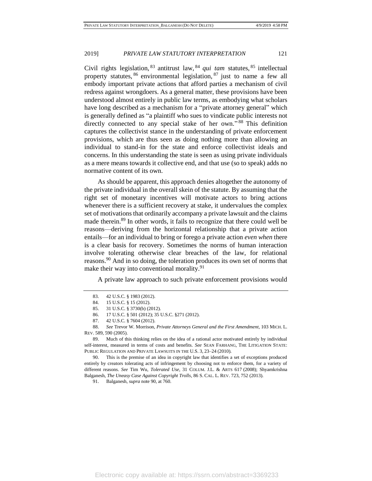Civil rights legislation, <sup>83</sup> antitrust law, <sup>84</sup> *qui tam* statutes, <sup>85</sup> intellectual property statutes,  $86$  environmental legislation,  $87$  just to name a few all embody important private actions that afford parties a mechanism of civil redress against wrongdoers. As a general matter, these provisions have been understood almost entirely in public law terms, as embodying what scholars have long described as a mechanism for a "private attorney general" which is generally defined as "a plaintiff who sues to vindicate public interests not directly connected to any special stake of her own."<sup>88</sup> This definition captures the collectivist stance in the understanding of private enforcement provisions, which are thus seen as doing nothing more than allowing an individual to stand-in for the state and enforce collectivist ideals and concerns. In this understanding the state is seen as using private individuals as a mere means towards it collective end, and that use (so to speak) adds no normative content of its own.

As should be apparent, this approach denies altogether the autonomy of the private individual in the overall skein of the statute. By assuming that the right set of monetary incentives will motivate actors to bring actions whenever there is a sufficient recovery at stake, it undervalues the complex set of motivations that ordinarily accompany a private lawsuit and the claims made therein.<sup>89</sup> In other words, it fails to recognize that there could well be reasons—deriving from the horizontal relationship that a private action entails—for an individual to bring or forego a private action *even when* there is a clear basis for recovery. Sometimes the norms of human interaction involve tolerating otherwise clear breaches of the law, for relational reasons.<sup>90</sup> And in so doing, the toleration produces its own set of norms that make their way into conventional morality.<sup>91</sup>

A private law approach to such private enforcement provisions would

90. This is the premise of an idea in copyright law that identifies a set of exceptions produced entirely by creators tolerating acts of infringement by choosing not to enforce them, for a variety of different reasons. *See* Tim Wu, *Tolerated Use*, 31 COLUM. J.L. & ARTS 617 (2008); Shyamkrishna Balganesh, *The Uneasy Case Against Copyright Trolls*, 86 S. CAL. L. REV. 723, 752 (2013).

91. Balganesh, *supra* note 90, at 760.

<sup>83.</sup> 42 U.S.C. § 1983 (2012).

<sup>84.</sup> 15 U.S.C. § 15 (2012).

<sup>85.</sup> 31 U.S.C. § 3730(b) (2012).

<sup>86.</sup> 17 U.S.C. § 501 (2012); 35 U.S.C. §271 (2012).

<sup>87.</sup> 42 U.S.C. § 7604 (2012).

<sup>88.</sup> *See* Trevor W. Morrison, *Private Attorneys General and the First Amendment*, 103 MICH. L. REV. 589, 590 (2005).

<sup>89.</sup> Much of this thinking relies on the idea of a rational actor motivated entirely by individual self-interest, measured in terms of costs and benefits. *See* SEAN FARHANG, THE LITIGATION STATE: PUBLIC REGULATION AND PRIVATE LAWSUITS IN THE U.S. 3, 23–24 (2010).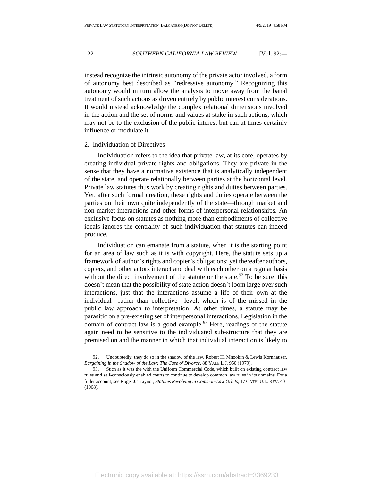instead recognize the intrinsic autonomy of the private actor involved, a form of autonomy best described as "redressive autonomy." Recognizing this autonomy would in turn allow the analysis to move away from the banal treatment of such actions as driven entirely by public interest considerations. It would instead acknowledge the complex relational dimensions involved in the action and the set of norms and values at stake in such actions, which may not be to the exclusion of the public interest but can at times certainly influence or modulate it.

#### 2. Individuation of Directives

Individuation refers to the idea that private law, at its core, operates by creating individual private rights and obligations. They are private in the sense that they have a normative existence that is analytically independent of the state, and operate relationally between parties at the horizontal level. Private law statutes thus work by creating rights and duties between parties. Yet, after such formal creation, these rights and duties operate between the parties on their own quite independently of the state—through market and non-market interactions and other forms of interpersonal relationships. An exclusive focus on statutes as nothing more than embodiments of collective ideals ignores the centrality of such individuation that statutes can indeed produce.

Individuation can emanate from a statute, when it is the starting point for an area of law such as it is with copyright. Here, the statute sets up a framework of author's rights and copier's obligations; yet thereafter authors, copiers, and other actors interact and deal with each other on a regular basis without the direct involvement of the statute or the state.<sup>92</sup> To be sure, this doesn't mean that the possibility of state action doesn't loom large over such interactions, just that the interactions assume a life of their own at the individual—rather than collective—level, which is of the missed in the public law approach to interpretation. At other times, a statute may be parasitic on a pre-existing set of interpersonal interactions. Legislation in the domain of contract law is a good example.<sup>93</sup> Here, readings of the statute again need to be sensitive to the individuated sub-structure that they are premised on and the manner in which that individual interaction is likely to

<sup>92.</sup> Undoubtedly, they do so in the shadow of the law. Robert H. Mnookin & Lewis Kornhauser, *Bargaining in the Shadow of the Law: The Case of Divorce*, 88 YALE L.J. 950 (1979).

<sup>93.</sup> Such as it was the with the Uniform Commercial Code, which built on existing contract law rules and self-consciously enabled courts to continue to develop common law rules in its domains. For a fuller account, see Roger J. Traynor, *Statutes Revolving in Common-Law Orbits*, 17 CATH. U.L. REV. 401 (1968).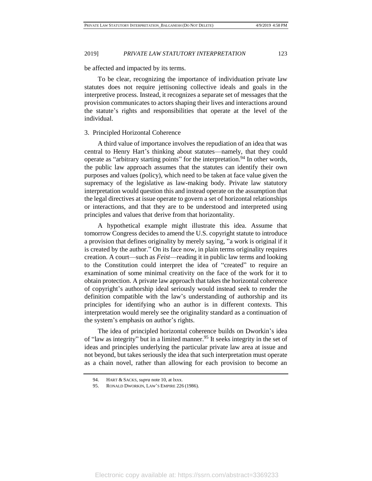be affected and impacted by its terms.

To be clear, recognizing the importance of individuation private law statutes does not require jettisoning collective ideals and goals in the interpretive process. Instead, it recognizes a separate set of messages that the provision communicates to actors shaping their lives and interactions around the statute's rights and responsibilities that operate at the level of the individual.

#### 3. Principled Horizontal Coherence

A third value of importance involves the repudiation of an idea that was central to Henry Hart's thinking about statutes—namely, that they could operate as "arbitrary starting points" for the interpretation.<sup>94</sup> In other words, the public law approach assumes that the statutes can identify their own purposes and values (policy), which need to be taken at face value given the supremacy of the legislative as law-making body. Private law statutory interpretation would question this and instead operate on the assumption that the legal directives at issue operate to govern a set of horizontal relationships or interactions, and that they are to be understood and interpreted using principles and values that derive from that horizontality.

A hypothetical example might illustrate this idea. Assume that tomorrow Congress decides to amend the U.S. copyright statute to introduce a provision that defines originality by merely saying, "a work is original if it is created by the author." On its face now, in plain terms originality requires creation. A court—such as *Feist*—reading it in public law terms and looking to the Constitution could interpret the idea of "created" to require an examination of some minimal creativity on the face of the work for it to obtain protection. A private law approach that takes the horizontal coherence of copyright's authorship ideal seriously would instead seek to render the definition compatible with the law's understanding of authorship and its principles for identifying who an author is in different contexts. This interpretation would merely see the originality standard as a continuation of the system's emphasis on author's rights.

The idea of principled horizontal coherence builds on Dworkin's idea of "law as integrity" but in a limited manner.<sup>95</sup> It seeks integrity in the set of ideas and principles underlying the particular private law area at issue and not beyond, but takes seriously the idea that such interpretation must operate as a chain novel, rather than allowing for each provision to become an

<sup>94.</sup> HART & SACKS, *supra* note 10, at lxxx.

<sup>95.</sup> RONALD DWORKIN, LAW'S EMPIRE 226 (1986).